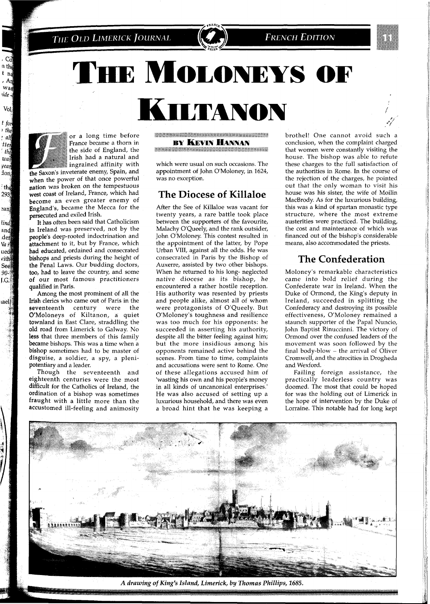

# THE MOLONEYS OF

**ILTANON** 

Vol  $t$  for  $\cdot$  the

all

tten

 $th<sub>6</sub>$ was year don, the 293

ean) lind and der Va r ued vith See  $90 -$ LG.

iael

or a long time before France became a thorn in the side of England, the Irish had a natural and ingrained affinity with

the Saxon's inveterate enemy, Spain, and when the power of that once powerful nation was broken on the tempestuous west coast of Ireland, France, which had become an even greater enemy of England's, became the Mecca for the persecuted and exiled Irish.

It has often been said that Catholicism in Ireland was preserved, not by the people's deep-rooted indoctrination and attachment to it, but by France, which had educated, ordained and consecrated bishops and priests during the height of the Penal Laws. Our budding doctors, too, had to leave the country, and some of our most famous practitioners qualified in Paris.

Among the most prominent of all the Irish clerics who came out of Paris in the<br>seventeenth century were the seventeenth century were O'Moloneys of Kiltanon, a quiet townland in East Clare, straddling the old road from Limerick to Galway. No less that three members of this family became bishops. This was a time when a bishop sometimes had to be master of disguise, a soldier, a spy, a plenipotentiary and a leader.

Though the seventeenth and eighteenth centuries were the most difficult for the Catholics of Ireland, the ordination of a bishop was sometimes fraught with a little more than the accustomed ill-feeling and animosity

**TENNIS ANG MANAGEMENTAL PROPERTY BY KEVIN HANNAN** 

**MARK AND REAL PROPERTY AND RELEASE** 

which were usual on such occasions. The appointment of John O'Moloney, in 1624, was no exception.

#### The Diocese of Killaloe

After the See of Killaloe was vacant for twenty years, a rare battle took place between the supporters of the favourite, Malachy O'Queely, and the rank outsider, John O'Moloney. This contest resulted in the appointment of the latter, by Pope Urban VIII, against all the odds. He was consecrated in Paris by the Bishop of Auxerre, assisted by two other bishops. When he returned to his long- neglected native diocese as its bishop, he encountered a rather hostile reception. His authority was resented by priests and people alike, almost all of whom were protagonists of O'Queely. But O'Moloney's toughness and resilience was too much for his opponents: he succeeded in asserting his authority, despite all the bitter feeling against him; but the more insidious among his opponents remained active behind the scenes. From time to time, complaints and accusations were sent to Rome. One of these allegations accused him of 'wasting his own and his people's money in all kinds of uncanonical enterprises.' He was also accused of setting up a luxurious household, and there was even a broad hint that he was keeping a

brothel! One cannot avoid such a conclusion, when the complaint charged that women were constantly visiting the house. The bishop was able to refute these charges to the full satisfaction of the authorities in Rome. In the course of the rejection of the charges, he pointed out that the only woman to visit his house was his sister, the wife of Moilin MacBrody. As for the luxurious building, this was a kind of spartan monastic type structure, where the most extreme austerities were practiced. The building, the cost and maintenance of which was financed out of the bishop's considerable means, also accommodated the priests.

### The Confederation

Moloney's remarkable characteristics came into bold relief during the Confederate war in Ireland. When the Duke of Ormond, the King's deputy in Ireland, succeeded in splitting the Confederacy and destroying its possible effectiveness, O'Moloney remained a staunch supporter of the Papal Nuncio, John Baptist Rinuccinni. The victory of Ormond over the confused leaders of the movement was soon followed by the final body-blow - the arrival of Oliver Cromwell, and the atrocities in Drogheda and Wexford.

Failing foreign assistance, the practically leaderless country was doomed. The most that could be hoped for was the holding out of Limerick in the hope of intervention by the Duke of Lorraine. This notable had for long kept



A drawing of King's Island, Limerick, by Thomas Phillips, 1685.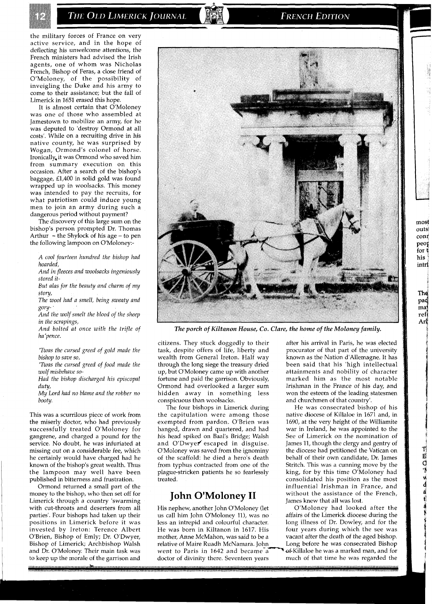THE OLD LIMERICK JOURNAL

**FRENCH EDITION** 

the military forces of France on very active service, and in the hope of deflecting his unwelcome attentions, the French ministers had advised the Irish agents, one of whom was Nicholas French, Bishop of Feras, a close friend of O'Moloney, of the possibility of inveigling the Duke and his army to come to their assistance; but the fall of Limerick in 1651 erased this hope.

It is almost certain that O'Moloney was one of those who assembled at Jamestown to mobilize an army, for he was deputed to 'destroy Ormond at all costs'. While on a recruiting drive in his native county, he was surprised by Wogan, Ormond's colonel of horse. Ironically,it was Ormond who saved him from summary execution on this occasion. After a search of the bishop's baggage, £1,400 in solid gold was found wrapped up in woolsacks. This money was intended to pay the recruits, for what patriotism could induce young men to join an army during such a dangerous period without payment?

The discovery of this large sum on the bishop's person prompted Dr. Thomas Arthur  $-$  the Shylock of his age  $-$  to pen the following lampoon on 0'Moloney:-

*A cool fourteen hundred the bishop had hoarded,* 

*And in fleeces and woolsacks ingeniously stored it-*

*But alas for the beauty and charm of my story,* 

*The wool had a smell, being sweaty and gory-* '

*And the wolf smelt the blood of the sheep in the scrapings,* 

*And bolted at once with the trifle of ha 'pence.* 

*'Twas the cursed greed of gold made the bishop to save so,* 

*'Twas the cursed greed of food made the wolf misbehave so-*

*Had the bishop discharged his episcopal duty,* 

*My Lord had no blame and the robber no booty.* 

This was a scurrilous piece of work from the miserly doctor, who had previously successfully treated O'Moloney for gangrene, and charged a pound for the service. No doubt, he was infuriated at missing out on a considerable fee, which he certainly would have charged had he known of the bishop's great wealth. Thus the lampoon may well have been published in bitterness and frustration.

Ormond returned a small part of the money to the bishop, who then set off for Limerick through a country 'swarming with cut-throats and deserters from all parties'. Four bishops had taken up their positions in Limerick before it was invested by Ireton: Terence Albert O'Brien, Bishop of Emly; Dr. O'Dwyer, Bishop of Limerick; Archbishop Walsh and Dr. O'Moloney. Their main task was to keep up the morale of the garrison and



*The porch of Kiltanon House, Co. Clare, the home of the Moloney family.* 

citizens. They stuck doggedly to their task, despite offers of life, liberty and wealth from General Ireton. Half way through the long siege the treasury dried up, but O'Moloney came up with another fortune and paid the garrison. Obviously, Ormond had overlooked a larger sum hidden away in something less conspicuous than woolsacks.

The four bishops in Limerick during the capitulation were among those exempted from pardon. O'Brien was hanged, drawn and quartered, and had his head spiked on Baal's Bridge; Walsh and O'Dwyer escaped in disguise. O'Moloney was saved from the ignominy of the scaffold: he died a hero's death from typhus contracted from one of the plague-stricken patients he so fearlessly treated.

### **John O'Moloney I1**

His nephew, another John O'Moloney (let us call him John O'Moloney ll), was no less an intrepid and colourful character. He was born in Kiltanon in 1617. His mother, Anne McMahon, was said to be a relative of Maire Ruadh McNamara. John went to Paris in 1642 and became a<br>doctor of divinity there. Seventeen years after his arrival in Paris, he was elected procurator of that part of the university known as the Nation d'Allemagne. It has been said that his 'high intellectual attainments and nobility of character marked him as the most notable Irishman in the France of his day, and won the esteem of the leading statesmen and churchmen of that country'.

He was consecrated bishop of his native diocese of Killaloe in 1671 and, in 1690, at the very height of the Williamite war in Ireland, he was appointed to the See of Limerick on the nomination of James 11, though the clergy and gentry of the diocese had petitioned the Vatican on behalf of their own candidate, Dr. James Stritch. This was a cunning move by the king, for by this time O'Moloney had consolidated his position as the most influential Irishman in France, and without the assistance of the French, James knew that all was lost.

O'Moloney had looked after the affairs of the Limerick diocese during the long illness of Dr. Dowley, and for the four years during which the see was vacant after the death of the aged bishop. Long before he was consecrated Bishop of Killaloe he was a marked man, and for much of that time he was regarded the The pad maj ref

Arl

4 S

most **outsi**  cont<br>peop

for  $\mathfrak{g}$ his intri

 $\mathbf{T}_2^{\dagger}$  .

**El**  a **'B** 

l4 **d d**  t-l *B*  **E** 

i<br>I<br>I

l 1